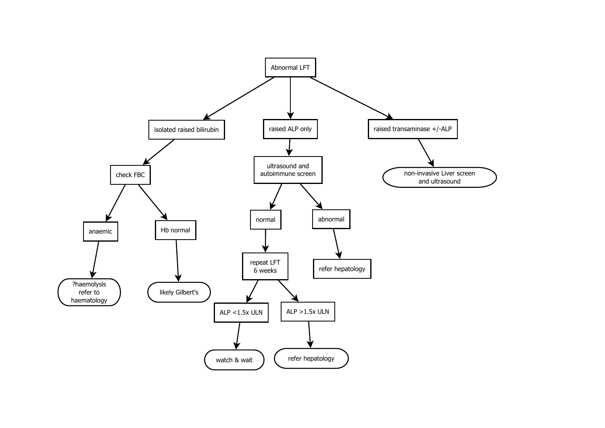